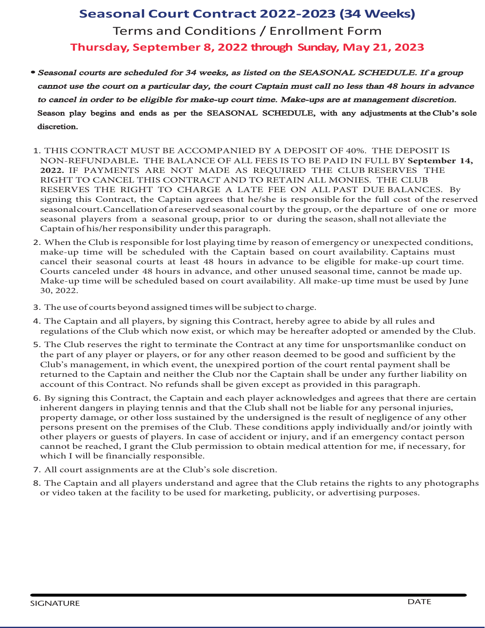#### Terms and Conditions / Enrollment Form Thursday Se tember 2 22 through Sunday ay 21 2023

• Seasonal courts are scheduled for 34 weeks, as listed on the SEASONAL SCHEDULE. If a group cannot use the court on a particular day, the court Captain must call no less than 48 hours in advance to cancel in order to be eligible for make-up court time. Make-ups are at management discretion. Season play begins and ends as per the SEASONAL SCHEDULE, with any adjustments at the Club's sole discretion.

#### CAAM NLC  $AMI$ .  $\mathcal{S}$  $CNM$  $MD$  ,  $C$   $CNM$  $\overline{A}$  $CDSL$  $\mathbf C$  ${\bf C}$ LAC  $_{\mathrm{DCC}}$  $\rm C~N$  $\ensuremath{\mathrm{LML}}$  $MD$  $\mathbf{M}$ **LDS**  $\ddot{\phantom{a}}$ cnrck cp  $\mathbf{D} \ \ \mathbf{N}$  $CL$  $\mathbf C$  ${\rm LM}$  $\mathbf C$  $\cos$  $\mathbf C$  $\mathbf C$  $\mathbf A\,$  S  $C$   $C$   $C$  $\mathbf C$ MA LAC AML M C ML  $C$ ,  $\mathbf C$  $E$  $A$   $L$  $\mathbf{L}$ A S  $C$   $C$  $\mathcal{C}$  $\mathsf{C}$  $E$  $EC$  $\overline{C}$  ${\bf N}$  $SC$ LAC,  $\mathbf{M}$  $\overline{A}$ DCC ML W Amlrp ar  $_\mathrm{rfc}$ A nr gl  $\mathop{\rm rf}\nolimits$ r  $fc-fc$ g pc nml g jcdmprfc dsjj am r mdrfcpc cptcb gelgle rfg epcc pc cptcb  $c$  ml  $i$ amspr, A lacjj rgmhnd  $c$  ml  $i$ amspr wrfepmsn mp rfcbcn prspc md mlcmp kmpc  $c$  ml  $i$ rm mp bspglerfc c ml f ji lmr jictg rcrfc  $c$  ml  $i$ nj wcp dpmk epmsn npgmp A nr gl md fg -fcp pc nml g gjgrwslbcp rfg n p ep nf,

 $T$  If  $c1$  $rfC$  $A$ is g pc nml g jc dmp im r ni wøle  $r$ økc w pc ml md ckcneclaw mpslcvncarcbamlbgrgml k ic sn afcbsjcb ugrf rfc A nr gl  $cb$ mlamspr t gj gjgrw,A nr gl rgkc ugji  $\mathbf{c}$  $ks$ r a lacj rfcgp  $c$  ml  $j$ amspr  $r$  jc  $r$ fmsp gl bt lac rm c cjgeg jc dmpk ic sn amspr rgkc, a lacjcb Amspr slbcp fmsp gl bt lac  $1<sub>b</sub>$ mrfcp sls cb c ml jrgkc a llmr ck bcsn, ic snrgkcugjj c afcbsjcb cbmlamspr t gj gjgrw, jjk ic snrgkc ks r cs cb wHslc

fc s c md amspr cwmlb gelcb rgkc ugji  $\mathbf{c}$ s hear rm af pec.

fcA nr gl lb jjnj wcp w gelglerfg Amlrp ar fcpc w epccrm gbc w jjpsjc lb pcesj rgml mdrfcAjs ufgaflmucvg r mpufgafk w cfcpc drcp bmnrcbmp kclbcb wrfc

fcAjs pc cptc rfcpgefrrmrcpkgl rcrfcAmlrp ar r lwrgkcdmpsl nmpr k ljgicamlbsarml rfcn prmd lwnj wcpmpnj wcp mpdmp lwmrfcppc mlbcckcbrm cemmb lb sddgagclr wrfc Ajs k 1 eckclr glufgafctclr rfcslcvngpcbnmprgmlmdrfcamsprpclr jn wkclr f jj c pcrsplcbrmrfcA nr gl lblcgrfcprfcAjs lmprfcA nr gl f jj cslbcp lwdsprfcpjg gjgrw aamslrmdrfg Amlrp ar, Lmpcdslb f ji cegtclcvacnr npmtgbcbglrfg n p ep nf,

w gelglerfg Amlrp ar rfcA nr gl lbc afnj wcp ailmujcbec lb epcc rf rrfcpc pc glfcpclrb lecp glnj wglercllg lbrf rrfcAjs f jjlmr cjg jcdmp lwncp ml j npmncprwb k ec mpmrfcpjm s r glcb wrfcslbcp gelcbg rfcpc sjrmdlcejgeclacmd ncp ml npc clrmlrfcnpckg c mdrfcAjs, fc camlbgrgml mnjwglbgtgbs jjw lb-mp mrfcpnj wcp mpesc r mdnj wcp, la cmd aagbclrmpglhspw lbgd lckcpeclaw a llmr cpc afcb ep lrrfcAjs ncpkg gmlrmm r glkcbga j rrclrgmldmpkc ufgaf ugjj cdgl lag jjwpc nml g jc,

jjamspr gelkclr pc rrfcAjs mjcbg apcrgml,

fcA nr gl lb jjnj wcp slbcp r lb lb epccrf rrfcAjs pcr gl rfcpgefr rm lw mptgbcmr icl rrfcd agjgrwrm cs cbdmpk picrgle ns jgagrw mp btcprg gle

 $A$ is.

ml

acpr gl glhspgc lwmrfcp hmglrjwugrf amlr arncp ml gdlcac pw dmp

nfmrmep nf nspnm c,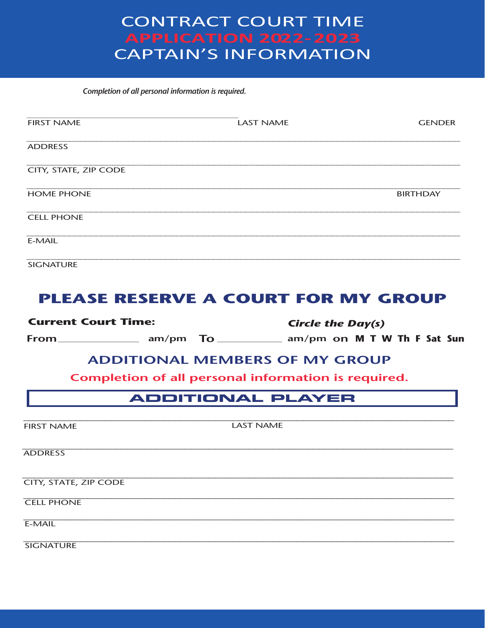# **CONTRACT COURT TIME APPLICATION 2022-2023 CAPTAIN'S INFORMATION**

Completion of all personal information is required.

| <b>FIRST NAME</b>     | <b>LAST NAME</b> | <b>GENDER</b>   |
|-----------------------|------------------|-----------------|
| <b>ADDRESS</b>        |                  |                 |
| CITY, STATE, ZIP CODE |                  |                 |
| <b>HOME PHONE</b>     |                  | <b>BIRTHDAY</b> |
| <b>CELL PHONE</b>     |                  |                 |
| E-MAIL                |                  |                 |
| <b>SIGNATURE</b>      |                  |                 |

# **PLEASE RESERVE A COURT FOR MY GROUP**

**Current Court Time: Circle the Day(s)** 

#### **ADDITIONAL MEMBERS OF MY GROUP**

Completion of all personal information is required.

#### **ADDITIONAL PLAYER**

**LAST NAME FIRST NAME ADDRESS CITY, STATE, ZIP CODE CELL PHONE**  $E-MAIL$ **SIGNATURE**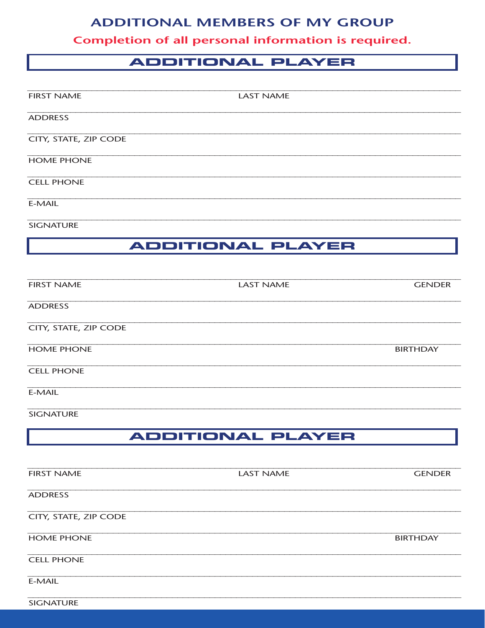#### **ADDITIONAL MEMBERS OF MY GROUP**

Completion of all personal information is required.

### **ADDITIONAL PLAYER**

| <b>FIRST NAME</b>            | <b>LAST NAME</b>         |                 |
|------------------------------|--------------------------|-----------------|
| <b>ADDRESS</b>               |                          |                 |
| <b>CITY, STATE, ZIP CODE</b> |                          |                 |
| <b>HOME PHONE</b>            |                          |                 |
| <b>CELL PHONE</b>            |                          |                 |
| E-MAIL                       |                          |                 |
| <b>SIGNATURE</b>             |                          |                 |
|                              | <b>ADDITIONAL PLAYER</b> |                 |
|                              |                          |                 |
| <b>FIRST NAME</b>            | <b>LAST NAME</b>         | <b>GENDER</b>   |
| <b>ADDRESS</b>               |                          |                 |
| CITY, STATE, ZIP CODE        |                          |                 |
| <b>HOME PHONE</b>            |                          | <b>BIRTHDAY</b> |

**CELL PHONE** 

 $E-MAIL$ 

**SIGNATURE** 

## **ADDITIONAL PLAYER**

| <b>FIRST NAME</b>     | <b>LAST NAME</b> | <b>GENDER</b>   |
|-----------------------|------------------|-----------------|
| <b>ADDRESS</b>        |                  |                 |
| CITY, STATE, ZIP CODE |                  |                 |
| <b>HOME PHONE</b>     |                  | <b>BIRTHDAY</b> |
| <b>CELL PHONE</b>     |                  |                 |
| E-MAIL                |                  |                 |
| <b>SIGNATURE</b>      |                  |                 |